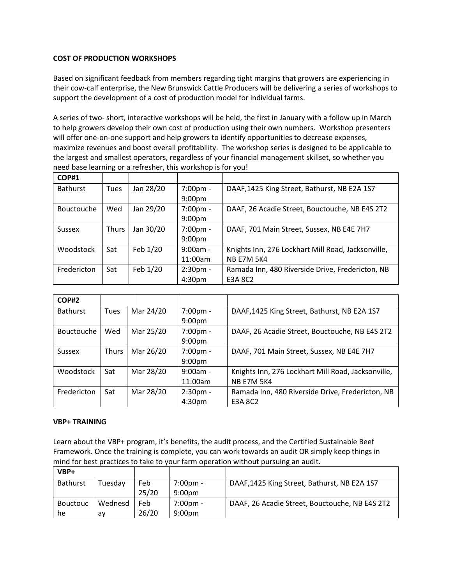## **COST OF PRODUCTION WORKSHOPS**

Based on significant feedback from members regarding tight margins that growers are experiencing in their cow-calf enterprise, the New Brunswick Cattle Producers will be delivering a series of workshops to support the development of a cost of production model for individual farms.

A series of two- short, interactive workshops will be held, the first in January with a follow up in March to help growers develop their own cost of production using their own numbers. Workshop presenters will offer one-on-one support and help growers to identify opportunities to decrease expenses, maximize revenues and boost overall profitability. The workshop series is designed to be applicable to the largest and smallest operators, regardless of your financial management skillset, so whether you need base learning or a refresher, this workshop is for you!

| <b>COP#1</b>    |       |           |                    |                                                    |
|-----------------|-------|-----------|--------------------|----------------------------------------------------|
| <b>Bathurst</b> | Tues  | Jan 28/20 | 7:00pm -           | DAAF, 1425 King Street, Bathurst, NB E2A 1S7       |
|                 |       |           | 9:00 <sub>pm</sub> |                                                    |
| Bouctouche      | Wed   | Jan 29/20 | 7:00pm -           | DAAF, 26 Acadie Street, Bouctouche, NB E4S 2T2     |
|                 |       |           | 9:00 <sub>pm</sub> |                                                    |
| <b>Sussex</b>   | Thurs | Jan 30/20 | $7:00$ pm -        | DAAF, 701 Main Street, Sussex, NB E4E 7H7          |
|                 |       |           | 9:00 <sub>pm</sub> |                                                    |
| Woodstock       | Sat   | Feb 1/20  | $9:00am -$         | Knights Inn, 276 Lockhart Mill Road, Jacksonville, |
|                 |       |           | 11:00am            | <b>NB E7M 5K4</b>                                  |
| Fredericton     | Sat   | Feb 1/20  | $2:30pm -$         | Ramada Inn, 480 Riverside Drive, Fredericton, NB   |
|                 |       |           | 4:30 <sub>pm</sub> | E3A 8C2                                            |

| COP#2             |       |           |                    |                                                    |
|-------------------|-------|-----------|--------------------|----------------------------------------------------|
| <b>Bathurst</b>   | Tues  | Mar 24/20 | 7:00pm -           | DAAF, 1425 King Street, Bathurst, NB E2A 1S7       |
|                   |       |           | 9:00 <sub>pm</sub> |                                                    |
| <b>Bouctouche</b> | Wed   | Mar 25/20 | 7:00pm -           | DAAF, 26 Acadie Street, Bouctouche, NB E4S 2T2     |
|                   |       |           | 9:00 <sub>pm</sub> |                                                    |
| <b>Sussex</b>     | Thurs | Mar 26/20 | 7:00pm -           | DAAF, 701 Main Street, Sussex, NB E4E 7H7          |
|                   |       |           | 9:00 <sub>pm</sub> |                                                    |
| Woodstock         | Sat   | Mar 28/20 | $9:00am -$         | Knights Inn, 276 Lockhart Mill Road, Jacksonville, |
|                   |       |           | 11:00am            | <b>NB E7M 5K4</b>                                  |
| Fredericton       | Sat   | Mar 28/20 | $2:30pm -$         | Ramada Inn, 480 Riverside Drive, Fredericton, NB   |
|                   |       |           | 4:30 <sub>pm</sub> | E3A 8C2                                            |

## **VBP+ TRAINING**

Learn about the VBP+ program, it's benefits, the audit process, and the Certified Sustainable Beef Framework. Once the training is complete, you can work towards an audit OR simply keep things in mind for best practices to take to your farm operation without pursuing an audit.

| $VBP+$          |         |       |                    |                                                |
|-----------------|---------|-------|--------------------|------------------------------------------------|
| <b>Bathurst</b> | Tuesday | Feb   | $7:00 \text{pm} -$ | DAAF, 1425 King Street, Bathurst, NB E2A 1S7   |
|                 |         | 25/20 | 9:00 <sub>pm</sub> |                                                |
| <b>Bouctouc</b> | Wednesd | Feb   | 7:00pm -           | DAAF, 26 Acadie Street, Bouctouche, NB E4S 2T2 |
| he              | av      | 26/20 | 9:00 <sub>pm</sub> |                                                |